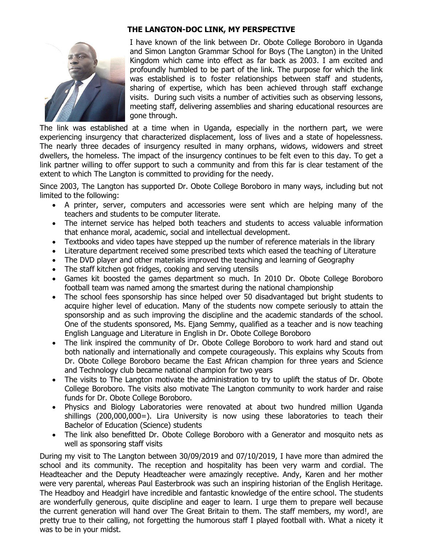## **THE LANGTON-DOC LINK, MY PERSPECTIVE**

I have known of the link between Dr. Obote College Boroboro in Uganda and Simon Langton Grammar School for Boys (The Langton) in the United Kingdom which came into effect as far back as 2003. I am excited and profoundly humbled to be part of the link. The purpose for which the link was established is to foster relationships between staff and students, sharing of expertise, which has been achieved through staff exchange visits. During such visits a number of activities such as observing lessons, meeting staff, delivering assemblies and sharing educational resources are gone through.

The link was established at a time when in Uganda, especially in the northern part, we were experiencing insurgency that characterized displacement, loss of lives and a state of hopelessness. The nearly three decades of insurgency resulted in many orphans, widows, widowers and street dwellers, the homeless. The impact of the insurgency continues to be felt even to this day. To get a link partner willing to offer support to such a community and from this far is clear testament of the extent to which The Langton is committed to providing for the needy.

Since 2003, The Langton has supported Dr. Obote College Boroboro in many ways, including but not limited to the following:

- A printer, server, computers and accessories were sent which are helping many of the teachers and students to be computer literate.
- The internet service has helped both teachers and students to access valuable information that enhance moral, academic, social and intellectual development.
- Textbooks and video tapes have stepped up the number of reference materials in the library
- Literature department received some prescribed texts which eased the teaching of Literature
- The DVD player and other materials improved the teaching and learning of Geography
- The staff kitchen got fridges, cooking and serving utensils
- Games kit boosted the games department so much. In 2010 Dr. Obote College Boroboro football team was named among the smartest during the national championship
- The school fees sponsorship has since helped over 50 disadvantaged but bright students to acquire higher level of education. Many of the students now compete seriously to attain the sponsorship and as such improving the discipline and the academic standards of the school. One of the students sponsored, Ms. Ejang Semmy, qualified as a teacher and is now teaching English Language and Literature in English in Dr. Obote College Boroboro
- The link inspired the community of Dr. Obote College Boroboro to work hard and stand out both nationally and internationally and compete courageously. This explains why Scouts from Dr. Obote College Boroboro became the East African champion for three years and Science and Technology club became national champion for two years
- The visits to The Langton motivate the administration to try to uplift the status of Dr. Obote College Boroboro. The visits also motivate The Langton community to work harder and raise funds for Dr. Obote College Boroboro.
- Physics and Biology Laboratories were renovated at about two hundred million Uganda shillings (200,000,000=). Lira University is now using these laboratories to teach their Bachelor of Education (Science) students
- The link also benefitted Dr. Obote College Boroboro with a Generator and mosquito nets as well as sponsoring staff visits

During my visit to The Langton between 30/09/2019 and 07/10/2019, I have more than admired the school and its community. The reception and hospitality has been very warm and cordial. The Headteacher and the Deputy Headteacher were amazingly receptive. Andy, Karen and her mother were very parental, whereas Paul Easterbrook was such an inspiring historian of the English Heritage. The Headboy and Headgirl have incredible and fantastic knowledge of the entire school. The students are wonderfully generous, quite discipline and eager to learn. I urge them to prepare well because the current generation will hand over The Great Britain to them. The staff members, my word!, are pretty true to their calling, not forgetting the humorous staff I played football with. What a nicety it was to be in your midst.